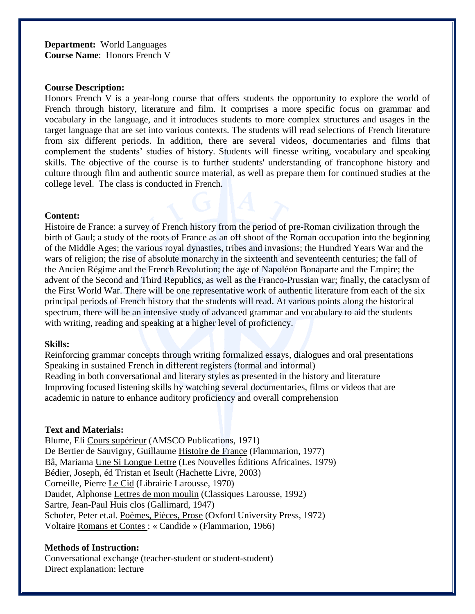**Department:** World Languages **Course Name**: Honors French V

### **Course Description:**

Honors French V is a year-long course that offers students the opportunity to explore the world of French through history, literature and film. It comprises a more specific focus on grammar and vocabulary in the language, and it introduces students to more complex structures and usages in the target language that are set into various contexts. The students will read selections of French literature from six different periods. In addition, there are several videos, documentaries and films that complement the students' studies of history. Students will finesse writing, vocabulary and speaking skills. The objective of the course is to further students' understanding of francophone history and culture through film and authentic source material, as well as prepare them for continued studies at the college level. The class is conducted in French.

#### **Content:**

Histoire de France: a survey of French history from the period of pre-Roman civilization through the birth of Gaul; a study of the roots of France as an off shoot of the Roman occupation into the beginning of the Middle Ages; the various royal dynasties, tribes and invasions; the Hundred Years War and the wars of religion; the rise of absolute monarchy in the sixteenth and seventeenth centuries; the fall of the Ancien Régime and the French Revolution; the age of Napoléon Bonaparte and the Empire; the advent of the Second and Third Republics, as well as the Franco-Prussian war; finally, the cataclysm of the First World War. There will be one representative work of authentic literature from each of the six principal periods of French history that the students will read. At various points along the historical spectrum, there will be an intensive study of advanced grammar and vocabulary to aid the students with writing, reading and speaking at a higher level of proficiency.

#### **Skills:**

Reinforcing grammar concepts through writing formalized essays, dialogues and oral presentations Speaking in sustained French in different registers (formal and informal) Reading in both conversational and literary styles as presented in the history and literature Improving focused listening skills by watching several documentaries, films or videos that are academic in nature to enhance auditory proficiency and overall comprehension

#### **Text and Materials:**

Blume, Eli Cours supérieur (AMSCO Publications, 1971) De Bertier de Sauvigny, Guillaume Histoire de France (Flammarion, 1977) Bâ, Mariama Une Si Longue Lettre (Les Nouvelles Éditions Africaines, 1979) Bédier, Joseph, éd Tristan et Iseult (Hachette Livre, 2003) Corneille, Pierre Le Cid (Librairie Larousse, 1970) Daudet, Alphonse Lettres de mon moulin (Classiques Larousse, 1992) Sartre, Jean-Paul Huis clos (Gallimard, 1947) Schofer, Peter et.al. Poèmes, Pièces, Prose (Oxford University Press, 1972) Voltaire Romans et Contes : « Candide » (Flammarion, 1966)

## **Methods of Instruction:**

Conversational exchange (teacher-student or student-student) Direct explanation: lecture